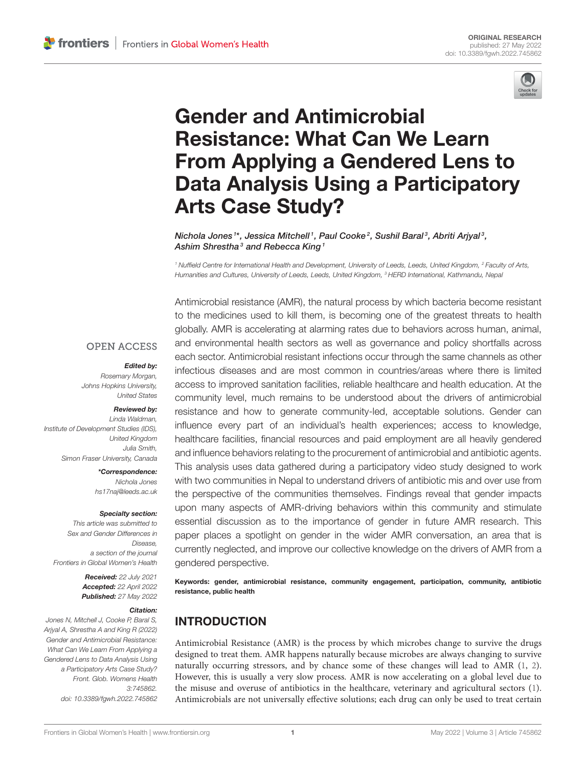

# Gender and Antimicrobial Resistance: What Can We Learn From Applying a Gendered Lens to [Data Analysis Using a Participatory](https://www.frontiersin.org/articles/10.3389/fgwh.2022.745862/full) Arts Case Study?

Nichola Jones <sup>1\*</sup>, Jessica Mitchell <sup>1</sup>, Paul Cooke <sup>2</sup>, Sushil Baral <sup>3</sup>, Abriti Arjyal <sup>3</sup>, Ashim Shrestha<sup>3</sup> and Rebecca King<sup>1</sup>

*<sup>1</sup> Nuffield Centre for International Health and Development, University of Leeds, Leeds, United Kingdom, <sup>2</sup> Faculty of Arts, Humanities and Cultures, University of Leeds, Leeds, United Kingdom, <sup>3</sup> HERD International, Kathmandu, Nepal*

### **OPEN ACCESS**

#### Edited by:

*Rosemary Morgan, Johns Hopkins University, United States*

# Reviewed by:

*Linda Waldman, Institute of Development Studies (IDS), United Kingdom Julia Smith, Simon Fraser University, Canada*

> \*Correspondence: *Nichola Jones [hs17naj@leeds.ac.uk](mailto:hs17naj@leeds.ac.uk)*

#### Specialty section:

*This article was submitted to Sex and Gender Differences in Disease, a section of the journal Frontiers in Global Women's Health*

> Received: *22 July 2021* Accepted: *22 April 2022* Published: *27 May 2022*

#### Citation:

*Jones N, Mitchell J, Cooke P, Baral S, Arjyal A, Shrestha A and King R (2022) Gender and Antimicrobial Resistance: What Can We Learn From Applying a Gendered Lens to Data Analysis Using a Participatory Arts Case Study? Front. Glob. Womens Health 3:745862. doi: [10.3389/fgwh.2022.745862](https://doi.org/10.3389/fgwh.2022.745862)*

Antimicrobial resistance (AMR), the natural process by which bacteria become resistant to the medicines used to kill them, is becoming one of the greatest threats to health globally. AMR is accelerating at alarming rates due to behaviors across human, animal, and environmental health sectors as well as governance and policy shortfalls across each sector. Antimicrobial resistant infections occur through the same channels as other infectious diseases and are most common in countries/areas where there is limited access to improved sanitation facilities, reliable healthcare and health education. At the community level, much remains to be understood about the drivers of antimicrobial resistance and how to generate community-led, acceptable solutions. Gender can influence every part of an individual's health experiences; access to knowledge, healthcare facilities, financial resources and paid employment are all heavily gendered and influence behaviors relating to the procurement of antimicrobial and antibiotic agents. This analysis uses data gathered during a participatory video study designed to work with two communities in Nepal to understand drivers of antibiotic mis and over use from the perspective of the communities themselves. Findings reveal that gender impacts upon many aspects of AMR-driving behaviors within this community and stimulate essential discussion as to the importance of gender in future AMR research. This paper places a spotlight on gender in the wider AMR conversation, an area that is currently neglected, and improve our collective knowledge on the drivers of AMR from a gendered perspective.

Keywords: gender, antimicrobial resistance, community engagement, participation, community, antibiotic resistance, public health

# INTRODUCTION

Antimicrobial Resistance (AMR) is the process by which microbes change to survive the drugs designed to treat them. AMR happens naturally because microbes are always changing to survive naturally occurring stressors, and by chance some of these changes will lead to AMR [\(1,](#page-12-0) [2\)](#page-12-1). However, this is usually a very slow process. AMR is now accelerating on a global level due to the misuse and overuse of antibiotics in the healthcare, veterinary and agricultural sectors [\(1\)](#page-12-0). Antimicrobials are not universally effective solutions; each drug can only be used to treat certain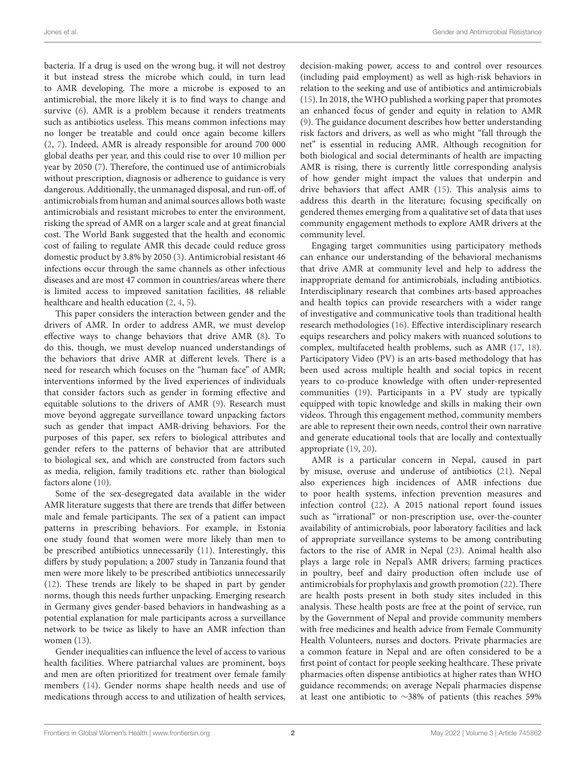bacteria. If a drug is used on the wrong bug, it will not destroy it but instead stress the microbe which could, in turn lead to AMR developing. The more a microbe is exposed to an antimicrobial, the more likely it is to find ways to change and survive [\(6\)](#page-13-0). AMR is a problem because it renders treatments such as antibiotics useless. This means common infections may no longer be treatable and could once again become killers [\(2,](#page-12-1) [7\)](#page-13-1). Indeed, AMR is already responsible for around 700 000 global deaths per year, and this could rise to over 10 million per year by 2050 [\(7\)](#page-13-1). Therefore, the continued use of antimicrobials without prescription, diagnosis or adherence to guidance is very dangerous. Additionally, the unmanaged disposal, and run-off, of antimicrobials from human and animal sources allows both waste antimicrobials and resistant microbes to enter the environment, risking the spread of AMR on a larger scale and at great financial cost. The World Bank suggested that the health and economic cost of failing to regulate AMR this decade could reduce gross domestic product by 3.8% by 2050 [\(3\)](#page-13-2). Antimicrobial resistant 46 infections occur through the same channels as other infectious diseases and are most 47 common in countries/areas where there is limited access to improved sanitation facilities, 48 reliable healthcare and health education [\(2,](#page-12-1) [4,](#page-13-3) [5\)](#page-13-4).

This paper considers the interaction between gender and the drivers of AMR. In order to address AMR, we must develop effective ways to change behaviors that drive AMR [\(8\)](#page-13-5). To do this, though, we must develop nuanced understandings of the behaviors that drive AMR at different levels. There is a need for research which focuses on the "human face" of AMR; interventions informed by the lived experiences of individuals that consider factors such as gender in forming effective and equitable solutions to the drivers of AMR [\(9\)](#page-13-6). Research must move beyond aggregate surveillance toward unpacking factors such as gender that impact AMR-driving behaviors. For the purposes of this paper, sex refers to biological attributes and gender refers to the patterns of behavior that are attributed to biological sex, and which are constructed from factors such as media, religion, family traditions etc. rather than biological factors alone [\(10\)](#page-13-7).

Some of the sex-desegregated data available in the wider AMR literature suggests that there are trends that differ between male and female participants. The sex of a patient can impact patterns in prescribing behaviors. For example, in Estonia one study found that women were more likely than men to be prescribed antibiotics unnecessarily [\(11\)](#page-13-8). Interestingly, this differs by study population; a 2007 study in Tanzania found that men were more likely to be prescribed antibiotics unnecessarily [\(12\)](#page-13-9). These trends are likely to be shaped in part by gender norms, though this needs further unpacking. Emerging research in Germany gives gender-based behaviors in handwashing as a potential explanation for male participants across a surveillance network to be twice as likely to have an AMR infection than women [\(13\)](#page-13-10).

Gender inequalities can influence the level of access to various health facilities. Where patriarchal values are prominent, boys and men are often prioritized for treatment over female family members [\(14\)](#page-13-11). Gender norms shape health needs and use of medications through access to and utilization of health services, decision-making power, access to and control over resources (including paid employment) as well as high-risk behaviors in relation to the seeking and use of antibiotics and antimicrobials [\(15\)](#page-13-12). In 2018, the WHO published a working paper that promotes an enhanced focus of gender and equity in relation to AMR [\(9\)](#page-13-6). The guidance document describes how better understanding risk factors and drivers, as well as who might "fall through the net" is essential in reducing AMR. Although recognition for both biological and social determinants of health are impacting AMR is rising, there is currently little corresponding analysis of how gender might impact the values that underpin and drive behaviors that affect AMR [\(15\)](#page-13-12). This analysis aims to address this dearth in the literature; focusing specifically on gendered themes emerging from a qualitative set of data that uses community engagement methods to explore AMR drivers at the community level.

Engaging target communities using participatory methods can enhance our understanding of the behavioral mechanisms that drive AMR at community level and help to address the inappropriate demand for antimicrobials, including antibiotics. Interdisciplinary research that combines arts-based approaches and health topics can provide researchers with a wider range of investigative and communicative tools than traditional health research methodologies [\(16\)](#page-13-13). Effective interdisciplinary research equips researchers and policy makers with nuanced solutions to complex, multifaceted health problems, such as AMR [\(17,](#page-13-14) [18\)](#page-13-15). Participatory Video (PV) is an arts-based methodology that has been used across multiple health and social topics in recent years to co-produce knowledge with often under-represented communities [\(19\)](#page-13-16). Participants in a PV study are typically equipped with topic knowledge and skills in making their own videos. Through this engagement method, community members are able to represent their own needs, control their own narrative and generate educational tools that are locally and contextually appropriate [\(19,](#page-13-16) [20\)](#page-13-17).

AMR is a particular concern in Nepal, caused in part by misuse, overuse and underuse of antibiotics [\(21\)](#page-13-18). Nepal also experiences high incidences of AMR infections due to poor health systems, infection prevention measures and infection control [\(22\)](#page-13-19). A 2015 national report found issues such as "irrational" or non-prescription use, over-the-counter availability of antimicrobials, poor laboratory facilities and lack of appropriate surveillance systems to be among contributing factors to the rise of AMR in Nepal [\(23\)](#page-13-20). Animal health also plays a large role in Nepal's AMR drivers; farming practices in poultry, beef and dairy production often include use of antimicrobials for prophylaxis and growth promotion [\(22\)](#page-13-19). There are health posts present in both study sites included in this analysis. These health posts are free at the point of service, run by the Government of Nepal and provide community members with free medicines and health advice from Female Community Health Volunteers, nurses and doctors. Private pharmacies are a common feature in Nepal and are often considered to be a first point of contact for people seeking healthcare. These private pharmacies often dispense antibiotics at higher rates than WHO guidance recommends; on average Nepali pharmacies dispense at least one antibiotic to ∼38% of patients (this reaches 59%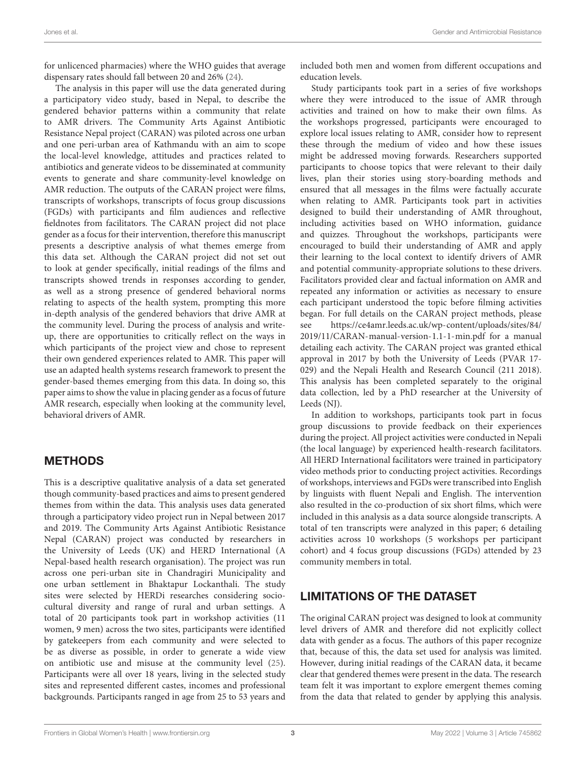for unlicenced pharmacies) where the WHO guides that average dispensary rates should fall between 20 and 26% [\(24\)](#page-13-21).

The analysis in this paper will use the data generated during a participatory video study, based in Nepal, to describe the gendered behavior patterns within a community that relate to AMR drivers. The Community Arts Against Antibiotic Resistance Nepal project (CARAN) was piloted across one urban and one peri-urban area of Kathmandu with an aim to scope the local-level knowledge, attitudes and practices related to antibiotics and generate videos to be disseminated at community events to generate and share community-level knowledge on AMR reduction. The outputs of the CARAN project were films, transcripts of workshops, transcripts of focus group discussions (FGDs) with participants and film audiences and reflective fieldnotes from facilitators. The CARAN project did not place gender as a focus for their intervention, therefore this manuscript presents a descriptive analysis of what themes emerge from this data set. Although the CARAN project did not set out to look at gender specifically, initial readings of the films and transcripts showed trends in responses according to gender, as well as a strong presence of gendered behavioral norms relating to aspects of the health system, prompting this more in-depth analysis of the gendered behaviors that drive AMR at the community level. During the process of analysis and writeup, there are opportunities to critically reflect on the ways in which participants of the project view and chose to represent their own gendered experiences related to AMR. This paper will use an adapted health systems research framework to present the gender-based themes emerging from this data. In doing so, this paper aims to show the value in placing gender as a focus of future AMR research, especially when looking at the community level, behavioral drivers of AMR.

# METHODS

This is a descriptive qualitative analysis of a data set generated though community-based practices and aims to present gendered themes from within the data. This analysis uses data generated through a participatory video project run in Nepal between 2017 and 2019. The Community Arts Against Antibiotic Resistance Nepal (CARAN) project was conducted by researchers in the University of Leeds (UK) and HERD International (A Nepal-based health research organisation). The project was run across one peri-urban site in Chandragiri Municipality and one urban settlement in Bhaktapur Lockanthali. The study sites were selected by HERDi researches considering sociocultural diversity and range of rural and urban settings. A total of 20 participants took part in workshop activities (11 women, 9 men) across the two sites, participants were identified by gatekeepers from each community and were selected to be as diverse as possible, in order to generate a wide view on antibiotic use and misuse at the community level [\(25\)](#page-13-22). Participants were all over 18 years, living in the selected study sites and represented different castes, incomes and professional backgrounds. Participants ranged in age from 25 to 53 years and included both men and women from different occupations and education levels.

Study participants took part in a series of five workshops where they were introduced to the issue of AMR through activities and trained on how to make their own films. As the workshops progressed, participants were encouraged to explore local issues relating to AMR, consider how to represent these through the medium of video and how these issues might be addressed moving forwards. Researchers supported participants to choose topics that were relevant to their daily lives, plan their stories using story-boarding methods and ensured that all messages in the films were factually accurate when relating to AMR. Participants took part in activities designed to build their understanding of AMR throughout, including activities based on WHO information, guidance and quizzes. Throughout the workshops, participants were encouraged to build their understanding of AMR and apply their learning to the local context to identify drivers of AMR and potential community-appropriate solutions to these drivers. Facilitators provided clear and factual information on AMR and repeated any information or activities as necessary to ensure each participant understood the topic before filming activities began. For full details on the CARAN project methods, please see [https://ce4amr.leeds.ac.uk/wp-content/uploads/sites/84/](https://ce4amr.leeds.ac.uk/wp-content/uploads/sites/84/2019/11/CARAN-manual-version-1.1-1-min.pdf) [2019/11/CARAN-manual-version-1.1-1-min.pdf](https://ce4amr.leeds.ac.uk/wp-content/uploads/sites/84/2019/11/CARAN-manual-version-1.1-1-min.pdf) for a manual detailing each activity. The CARAN project was granted ethical approval in 2017 by both the University of Leeds (PVAR 17- 029) and the Nepali Health and Research Council (211 2018). This analysis has been completed separately to the original data collection, led by a PhD researcher at the University of Leeds (NJ).

In addition to workshops, participants took part in focus group discussions to provide feedback on their experiences during the project. All project activities were conducted in Nepali (the local language) by experienced health-research facilitators. All HERD International facilitators were trained in participatory video methods prior to conducting project activities. Recordings of workshops, interviews and FGDs were transcribed into English by linguists with fluent Nepali and English. The intervention also resulted in the co-production of six short films, which were included in this analysis as a data source alongside transcripts. A total of ten transcripts were analyzed in this paper; 6 detailing activities across 10 workshops (5 workshops per participant cohort) and 4 focus group discussions (FGDs) attended by 23 community members in total.

# LIMITATIONS OF THE DATASET

The original CARAN project was designed to look at community level drivers of AMR and therefore did not explicitly collect data with gender as a focus. The authors of this paper recognize that, because of this, the data set used for analysis was limited. However, during initial readings of the CARAN data, it became clear that gendered themes were present in the data. The research team felt it was important to explore emergent themes coming from the data that related to gender by applying this analysis.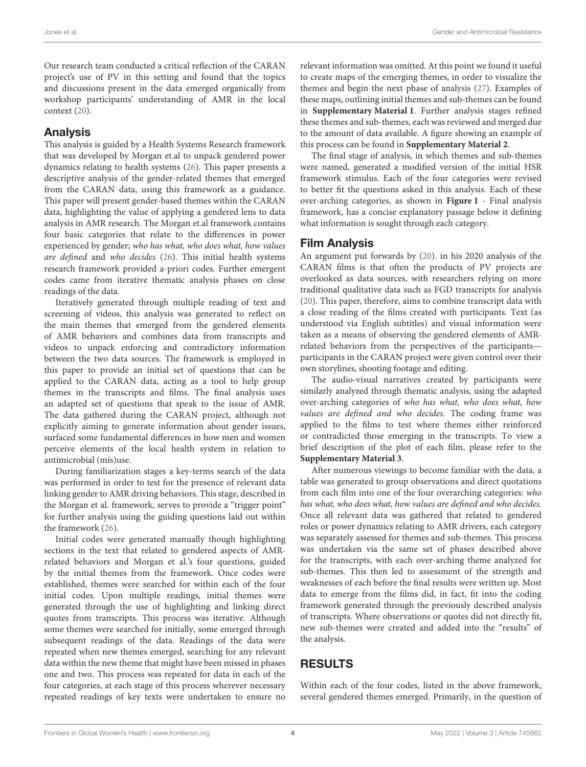Our research team conducted a critical reflection of the CARAN project's use of PV in this setting and found that the topics and discussions present in the data emerged organically from workshop participants' understanding of AMR in the local context [\(20\)](#page-13-17).

# Analysis

This analysis is guided by a Health Systems Research framework that was developed by Morgan et.al to unpack gendered power dynamics relating to health systems [\(26\)](#page-13-23). This paper presents a descriptive analysis of the gender-related themes that emerged from the CARAN data, using this framework as a guidance. This paper will present gender-based themes within the CARAN data, highlighting the value of applying a gendered lens to data analysis in AMR research. The Morgan et.al framework contains four basic categories that relate to the differences in power experienced by gender; who has what, who does what, how values are defined and who decides [\(26\)](#page-13-23). This initial health systems research framework provided a-priori codes. Further emergent codes came from iterative thematic analysis phases on close readings of the data.

Iteratively generated through multiple reading of text and screening of videos, this analysis was generated to reflect on the main themes that emerged from the gendered elements of AMR behaviors and combines data from transcripts and videos to unpack enforcing and contradictory information between the two data sources. The framework is employed in this paper to provide an initial set of questions that can be applied to the CARAN data, acting as a tool to help group themes in the transcripts and films. The final analysis uses an adapted set of questions that speak to the issue of AMR. The data gathered during the CARAN project, although not explicitly aiming to generate information about gender issues, surfaced some fundamental differences in how men and women perceive elements of the local health system in relation to antimicrobial (mis)use.

During familiarization stages a key-terms search of the data was performed in order to test for the presence of relevant data linking gender to AMR driving behaviors. This stage, described in the Morgan et al. framework, serves to provide a "trigger point" for further analysis using the guiding questions laid out within the framework [\(26\)](#page-13-23).

Initial codes were generated manually though highlighting sections in the text that related to gendered aspects of AMRrelated behaviors and Morgan et al.'s four questions, guided by the initial themes from the framework. Once codes were established, themes were searched for within each of the four initial codes. Upon multiple readings, initial themes were generated through the use of highlighting and linking direct quotes from transcripts. This process was iterative. Although some themes were searched for initially, some emerged through subsequent readings of the data. Readings of the data were repeated when new themes emerged, searching for any relevant data within the new theme that might have been missed in phases one and two. This process was repeated for data in each of the four categories, at each stage of this process wherever necessary repeated readings of key texts were undertaken to ensure no relevant information was omitted. At this point we found it useful to create maps of the emerging themes, in order to visualize the themes and begin the next phase of analysis [\(27\)](#page-13-24). Examples of these maps, outlining initial themes and sub-themes can be found in **[Supplementary Material 1](#page-12-2)**. Further analysis stages refined these themes and sub-themes, each was reviewed and merged due to the amount of data available. A figure showing an example of this process can be found in **[Supplementary Material 2](#page-12-2)**.

The final stage of analysis, in which themes and sub-themes were named, generated a modified version of the initial HSR framework stimulus. Each of the four categories were revised to better fit the questions asked in this analysis. Each of these over-arching categories, as shown in **[Figure 1](#page-4-0)** - Final analysis framework, has a concise explanatory passage below it defining what information is sought through each category.

# Film Analysis

An argument put forwards by [\(20\)](#page-13-17). in his 2020 analysis of the CARAN films is that often the products of PV projects are overlooked as data sources, with researchers relying on more traditional qualitative data such as FGD transcripts for analysis [\(20\)](#page-13-17). This paper, therefore, aims to combine transcript data with a close reading of the films created with participants. Text (as understood via English subtitles) and visual information were taken as a means of observing the gendered elements of AMRrelated behaviors from the perspectives of the participants participants in the CARAN project were given control over their own storylines, shooting footage and editing.

The audio-visual narratives created by participants were similarly analyzed through thematic analysis, using the adapted over-arching categories of who has what, who does what, how values are defined and who decides. The coding frame was applied to the films to test where themes either reinforced or contradicted those emerging in the transcripts. To view a brief description of the plot of each film, please refer to the **[Supplementary Material 3](#page-12-2)**.

After numerous viewings to become familiar with the data, a table was generated to group observations and direct quotations from each film into one of the four overarching categories: who has what, who does what, how values are defined and who decides. Once all relevant data was gathered that related to gendered roles or power dynamics relating to AMR drivers, each category was separately assessed for themes and sub-themes. This process was undertaken via the same set of phases described above for the transcripts, with each over-arching theme analyzed for sub-themes. This then led to assessment of the strength and weaknesses of each before the final results were written up. Most data to emerge from the films did, in fact, fit into the coding framework generated through the previously described analysis of transcripts. Where observations or quotes did not directly fit, new sub-themes were created and added into the "results" of the analysis.

# RESULTS

Within each of the four codes, listed in the above framework, several gendered themes emerged. Primarily, in the question of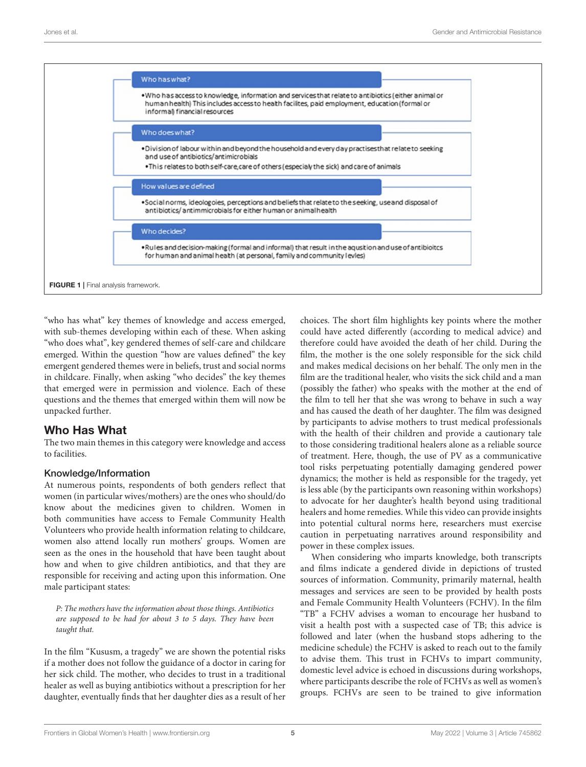

<span id="page-4-0"></span>"who has what" key themes of knowledge and access emerged, with sub-themes developing within each of these. When asking "who does what", key gendered themes of self-care and childcare emerged. Within the question "how are values defined" the key emergent gendered themes were in beliefs, trust and social norms in childcare. Finally, when asking "who decides" the key themes that emerged were in permission and violence. Each of these questions and the themes that emerged within them will now be unpacked further.

# Who Has What

The two main themes in this category were knowledge and access to facilities.

#### Knowledge/Information

At numerous points, respondents of both genders reflect that women (in particular wives/mothers) are the ones who should/do know about the medicines given to children. Women in both communities have access to Female Community Health Volunteers who provide health information relating to childcare, women also attend locally run mothers' groups. Women are seen as the ones in the household that have been taught about how and when to give children antibiotics, and that they are responsible for receiving and acting upon this information. One male participant states:

P: The mothers have the information about those things. Antibiotics are supposed to be had for about 3 to 5 days. They have been taught that.

In the film "Kususm, a tragedy" we are shown the potential risks if a mother does not follow the guidance of a doctor in caring for her sick child. The mother, who decides to trust in a traditional healer as well as buying antibiotics without a prescription for her daughter, eventually finds that her daughter dies as a result of her choices. The short film highlights key points where the mother could have acted differently (according to medical advice) and therefore could have avoided the death of her child. During the film, the mother is the one solely responsible for the sick child and makes medical decisions on her behalf. The only men in the film are the traditional healer, who visits the sick child and a man (possibly the father) who speaks with the mother at the end of the film to tell her that she was wrong to behave in such a way and has caused the death of her daughter. The film was designed by participants to advise mothers to trust medical professionals with the health of their children and provide a cautionary tale to those considering traditional healers alone as a reliable source of treatment. Here, though, the use of PV as a communicative tool risks perpetuating potentially damaging gendered power dynamics; the mother is held as responsible for the tragedy, yet is less able (by the participants own reasoning within workshops) to advocate for her daughter's health beyond using traditional healers and home remedies. While this video can provide insights into potential cultural norms here, researchers must exercise caution in perpetuating narratives around responsibility and power in these complex issues.

When considering who imparts knowledge, both transcripts and films indicate a gendered divide in depictions of trusted sources of information. Community, primarily maternal, health messages and services are seen to be provided by health posts and Female Community Health Volunteers (FCHV). In the film "TB" a FCHV advises a woman to encourage her husband to visit a health post with a suspected case of TB; this advice is followed and later (when the husband stops adhering to the medicine schedule) the FCHV is asked to reach out to the family to advise them. This trust in FCHVs to impart community, domestic level advice is echoed in discussions during workshops, where participants describe the role of FCHVs as well as women's groups. FCHVs are seen to be trained to give information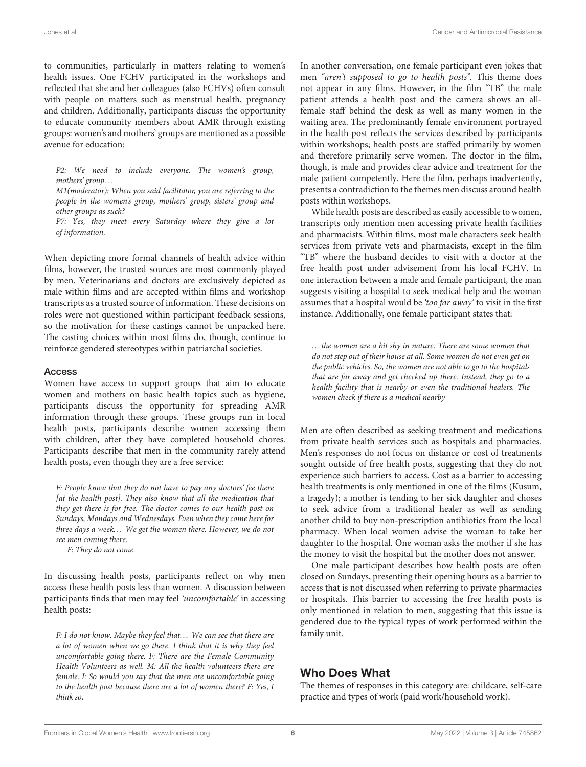to communities, particularly in matters relating to women's health issues. One FCHV participated in the workshops and reflected that she and her colleagues (also FCHVs) often consult with people on matters such as menstrual health, pregnancy and children. Additionally, participants discuss the opportunity to educate community members about AMR through existing groups: women's and mothers' groups are mentioned as a possible avenue for education:

P2: We need to include everyone. The women's group, mothers' group. . .

M1(moderator): When you said facilitator, you are referring to the people in the women's group, mothers' group, sisters' group and other groups as such?

P7: Yes, they meet every Saturday where they give a lot of information.

When depicting more formal channels of health advice within films, however, the trusted sources are most commonly played by men. Veterinarians and doctors are exclusively depicted as male within films and are accepted within films and workshop transcripts as a trusted source of information. These decisions on roles were not questioned within participant feedback sessions, so the motivation for these castings cannot be unpacked here. The casting choices within most films do, though, continue to reinforce gendered stereotypes within patriarchal societies.

#### **Access**

Women have access to support groups that aim to educate women and mothers on basic health topics such as hygiene, participants discuss the opportunity for spreading AMR information through these groups. These groups run in local health posts, participants describe women accessing them with children, after they have completed household chores. Participants describe that men in the community rarely attend health posts, even though they are a free service:

F: People know that they do not have to pay any doctors' fee there [at the health post]. They also know that all the medication that they get there is for free. The doctor comes to our health post on Sundays, Mondays and Wednesdays. Even when they come here for three days a week... We get the women there. However, we do not see men coming there.

F: They do not come.

In discussing health posts, participants reflect on why men access these health posts less than women. A discussion between participants finds that men may feel 'uncomfortable' in accessing health posts:

F: I do not know. Maybe they feel that... We can see that there are a lot of women when we go there. I think that it is why they feel uncomfortable going there. F: There are the Female Community Health Volunteers as well. M: All the health volunteers there are female. I: So would you say that the men are uncomfortable going to the health post because there are a lot of women there? F: Yes, I think so.

In another conversation, one female participant even jokes that men "aren't supposed to go to health posts". This theme does not appear in any films. However, in the film "TB" the male patient attends a health post and the camera shows an allfemale staff behind the desk as well as many women in the waiting area. The predominantly female environment portrayed in the health post reflects the services described by participants within workshops; health posts are staffed primarily by women and therefore primarily serve women. The doctor in the film, though, is male and provides clear advice and treatment for the male patient competently. Here the film, perhaps inadvertently, presents a contradiction to the themes men discuss around health posts within workshops.

While health posts are described as easily accessible to women, transcripts only mention men accessing private health facilities and pharmacists. Within films, most male characters seek health services from private vets and pharmacists, except in the film "TB" where the husband decides to visit with a doctor at the free health post under advisement from his local FCHV. In one interaction between a male and female participant, the man suggests visiting a hospital to seek medical help and the woman assumes that a hospital would be 'too far away' to visit in the first instance. Additionally, one female participant states that:

. . . the women are a bit shy in nature. There are some women that do not step out of their house at all. Some women do not even get on the public vehicles. So, the women are not able to go to the hospitals that are far away and get checked up there. Instead, they go to a health facility that is nearby or even the traditional healers. The women check if there is a medical nearby

Men are often described as seeking treatment and medications from private health services such as hospitals and pharmacies. Men's responses do not focus on distance or cost of treatments sought outside of free health posts, suggesting that they do not experience such barriers to access. Cost as a barrier to accessing health treatments is only mentioned in one of the films (Kusum, a tragedy); a mother is tending to her sick daughter and choses to seek advice from a traditional healer as well as sending another child to buy non-prescription antibiotics from the local pharmacy. When local women advise the woman to take her daughter to the hospital. One woman asks the mother if she has the money to visit the hospital but the mother does not answer.

One male participant describes how health posts are often closed on Sundays, presenting their opening hours as a barrier to access that is not discussed when referring to private pharmacies or hospitals. This barrier to accessing the free health posts is only mentioned in relation to men, suggesting that this issue is gendered due to the typical types of work performed within the family unit.

# Who Does What

The themes of responses in this category are: childcare, self-care practice and types of work (paid work/household work).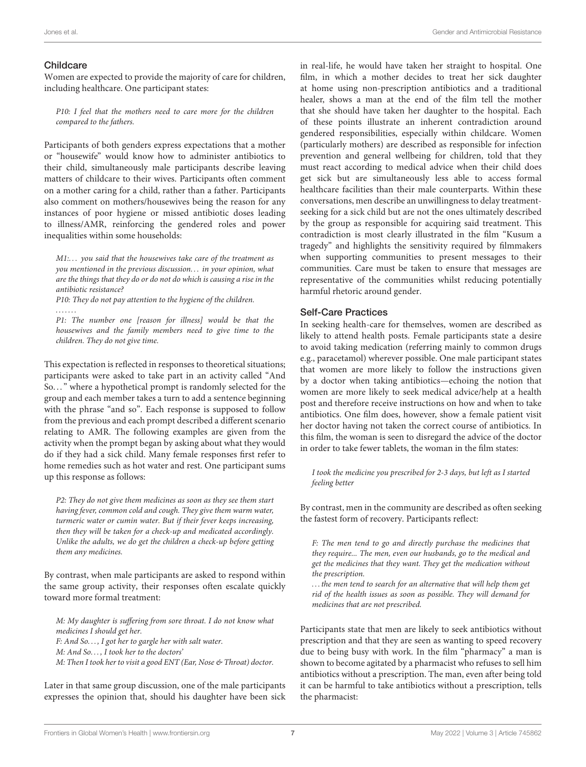#### Childcare

. . . . . . .

Women are expected to provide the majority of care for children, including healthcare. One participant states:

P10: I feel that the mothers need to care more for the children compared to the fathers.

Participants of both genders express expectations that a mother or "housewife" would know how to administer antibiotics to their child, simultaneously male participants describe leaving matters of childcare to their wives. Participants often comment on a mother caring for a child, rather than a father. Participants also comment on mothers/housewives being the reason for any instances of poor hygiene or missed antibiotic doses leading to illness/AMR, reinforcing the gendered roles and power inequalities within some households:

M1:... you said that the housewives take care of the treatment as you mentioned in the previous discussion. . . in your opinion, what are the things that they do or do not do which is causing a rise in the antibiotic resistance?

P10: They do not pay attention to the hygiene of the children.

P1: The number one [reason for illness] would be that the housewives and the family members need to give time to the children. They do not give time.

This expectation is reflected in responses to theoretical situations; participants were asked to take part in an activity called "And So. . . " where a hypothetical prompt is randomly selected for the group and each member takes a turn to add a sentence beginning with the phrase "and so". Each response is supposed to follow from the previous and each prompt described a different scenario relating to AMR. The following examples are given from the activity when the prompt began by asking about what they would do if they had a sick child. Many female responses first refer to home remedies such as hot water and rest. One participant sums up this response as follows:

P2: They do not give them medicines as soon as they see them start having fever, common cold and cough. They give them warm water, turmeric water or cumin water. But if their fever keeps increasing, then they will be taken for a check-up and medicated accordingly. Unlike the adults, we do get the children a check-up before getting them any medicines.

By contrast, when male participants are asked to respond within the same group activity, their responses often escalate quickly toward more formal treatment:

M: My daughter is suffering from sore throat. I do not know what medicines I should get her. F: And So. . . , I got her to gargle her with salt water. M: And So. . . , I took her to the doctors' M: Then I took her to visit a good ENT (Ear, Nose & Throat) doctor.

Later in that same group discussion, one of the male participants expresses the opinion that, should his daughter have been sick in real-life, he would have taken her straight to hospital. One film, in which a mother decides to treat her sick daughter at home using non-prescription antibiotics and a traditional healer, shows a man at the end of the film tell the mother that she should have taken her daughter to the hospital. Each of these points illustrate an inherent contradiction around gendered responsibilities, especially within childcare. Women (particularly mothers) are described as responsible for infection prevention and general wellbeing for children, told that they must react according to medical advice when their child does get sick but are simultaneously less able to access formal healthcare facilities than their male counterparts. Within these conversations, men describe an unwillingness to delay treatmentseeking for a sick child but are not the ones ultimately described by the group as responsible for acquiring said treatment. This contradiction is most clearly illustrated in the film "Kusum a tragedy" and highlights the sensitivity required by filmmakers when supporting communities to present messages to their communities. Care must be taken to ensure that messages are representative of the communities whilst reducing potentially harmful rhetoric around gender.

#### Self-Care Practices

In seeking health-care for themselves, women are described as likely to attend health posts. Female participants state a desire to avoid taking medication (referring mainly to common drugs e.g., paracetamol) wherever possible. One male participant states that women are more likely to follow the instructions given by a doctor when taking antibiotics—echoing the notion that women are more likely to seek medical advice/help at a health post and therefore receive instructions on how and when to take antibiotics. One film does, however, show a female patient visit her doctor having not taken the correct course of antibiotics. In this film, the woman is seen to disregard the advice of the doctor in order to take fewer tablets, the woman in the film states:

I took the medicine you prescribed for 2-3 days, but left as I started feeling better

By contrast, men in the community are described as often seeking the fastest form of recovery. Participants reflect:

F: The men tend to go and directly purchase the medicines that they require... The men, even our husbands, go to the medical and get the medicines that they want. They get the medication without the prescription.

. . . the men tend to search for an alternative that will help them get rid of the health issues as soon as possible. They will demand for medicines that are not prescribed.

Participants state that men are likely to seek antibiotics without prescription and that they are seen as wanting to speed recovery due to being busy with work. In the film "pharmacy" a man is shown to become agitated by a pharmacist who refuses to sell him antibiotics without a prescription. The man, even after being told it can be harmful to take antibiotics without a prescription, tells the pharmacist: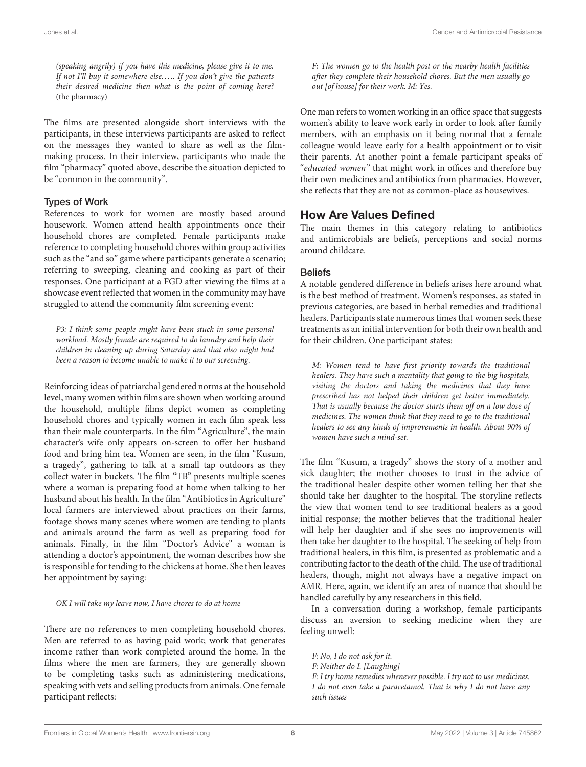(speaking angrily) if you have this medicine, please give it to me. If not I'll buy it somewhere else..... If you don't give the patients their desired medicine then what is the point of coming here? (the pharmacy)

The films are presented alongside short interviews with the participants, in these interviews participants are asked to reflect on the messages they wanted to share as well as the filmmaking process. In their interview, participants who made the film "pharmacy" quoted above, describe the situation depicted to be "common in the community".

#### Types of Work

References to work for women are mostly based around housework. Women attend health appointments once their household chores are completed. Female participants make reference to completing household chores within group activities such as the "and so" game where participants generate a scenario; referring to sweeping, cleaning and cooking as part of their responses. One participant at a FGD after viewing the films at a showcase event reflected that women in the community may have struggled to attend the community film screening event:

P3: I think some people might have been stuck in some personal workload. Mostly female are required to do laundry and help their children in cleaning up during Saturday and that also might had been a reason to become unable to make it to our screening.

Reinforcing ideas of patriarchal gendered norms at the household level, many women within films are shown when working around the household, multiple films depict women as completing household chores and typically women in each film speak less than their male counterparts. In the film "Agriculture", the main character's wife only appears on-screen to offer her husband food and bring him tea. Women are seen, in the film "Kusum, a tragedy", gathering to talk at a small tap outdoors as they collect water in buckets. The film "TB" presents multiple scenes where a woman is preparing food at home when talking to her husband about his health. In the film "Antibiotics in Agriculture" local farmers are interviewed about practices on their farms, footage shows many scenes where women are tending to plants and animals around the farm as well as preparing food for animals. Finally, in the film "Doctor's Advice" a woman is attending a doctor's appointment, the woman describes how she is responsible for tending to the chickens at home. She then leaves her appointment by saying:

#### OK I will take my leave now, I have chores to do at home

There are no references to men completing household chores. Men are referred to as having paid work; work that generates income rather than work completed around the home. In the films where the men are farmers, they are generally shown to be completing tasks such as administering medications, speaking with vets and selling products from animals. One female participant reflects:

F: The women go to the health post or the nearby health facilities after they complete their household chores. But the men usually go out [of house] for their work. M: Yes.

One man refers to women working in an office space that suggests women's ability to leave work early in order to look after family members, with an emphasis on it being normal that a female colleague would leave early for a health appointment or to visit their parents. At another point a female participant speaks of "educated women" that might work in offices and therefore buy their own medicines and antibiotics from pharmacies. However, she reflects that they are not as common-place as housewives.

### How Are Values Defined

The main themes in this category relating to antibiotics and antimicrobials are beliefs, perceptions and social norms around childcare.

#### **Beliefs**

A notable gendered difference in beliefs arises here around what is the best method of treatment. Women's responses, as stated in previous categories, are based in herbal remedies and traditional healers. Participants state numerous times that women seek these treatments as an initial intervention for both their own health and for their children. One participant states:

M: Women tend to have first priority towards the traditional healers. They have such a mentality that going to the big hospitals, visiting the doctors and taking the medicines that they have prescribed has not helped their children get better immediately. That is usually because the doctor starts them off on a low dose of medicines. The women think that they need to go to the traditional healers to see any kinds of improvements in health. About 90% of women have such a mind-set.

The film "Kusum, a tragedy" shows the story of a mother and sick daughter; the mother chooses to trust in the advice of the traditional healer despite other women telling her that she should take her daughter to the hospital. The storyline reflects the view that women tend to see traditional healers as a good initial response; the mother believes that the traditional healer will help her daughter and if she sees no improvements will then take her daughter to the hospital. The seeking of help from traditional healers, in this film, is presented as problematic and a contributing factor to the death of the child. The use of traditional healers, though, might not always have a negative impact on AMR. Here, again, we identify an area of nuance that should be handled carefully by any researchers in this field.

In a conversation during a workshop, female participants discuss an aversion to seeking medicine when they are feeling unwell:

F: No, I do not ask for it.

F: Neither do I. [Laughing]

F: I try home remedies whenever possible. I try not to use medicines. I do not even take a paracetamol. That is why I do not have any such issues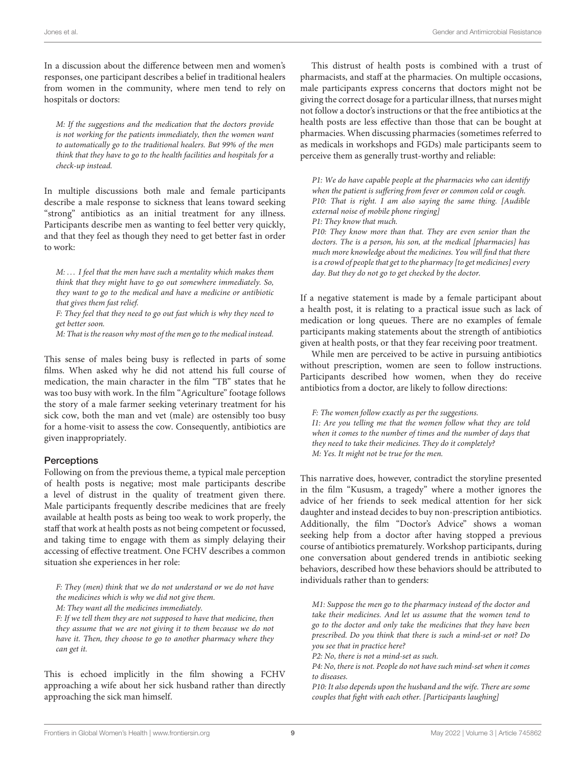In a discussion about the difference between men and women's responses, one participant describes a belief in traditional healers from women in the community, where men tend to rely on hospitals or doctors:

M: If the suggestions and the medication that the doctors provide is not working for the patients immediately, then the women want to automatically go to the traditional healers. But 99% of the men think that they have to go to the health facilities and hospitals for a check-up instead.

In multiple discussions both male and female participants describe a male response to sickness that leans toward seeking "strong" antibiotics as an initial treatment for any illness. Participants describe men as wanting to feel better very quickly, and that they feel as though they need to get better fast in order to work:

M: ... I feel that the men have such a mentality which makes them think that they might have to go out somewhere immediately. So, they want to go to the medical and have a medicine or antibiotic that gives them fast relief.

F: They feel that they need to go out fast which is why they need to get better soon.

M: That is the reason why most of the men go to the medical instead.

This sense of males being busy is reflected in parts of some films. When asked why he did not attend his full course of medication, the main character in the film "TB" states that he was too busy with work. In the film "Agriculture" footage follows the story of a male farmer seeking veterinary treatment for his sick cow, both the man and vet (male) are ostensibly too busy for a home-visit to assess the cow. Consequently, antibiotics are given inappropriately.

#### **Perceptions**

Following on from the previous theme, a typical male perception of health posts is negative; most male participants describe a level of distrust in the quality of treatment given there. Male participants frequently describe medicines that are freely available at health posts as being too weak to work properly, the staff that work at health posts as not being competent or focussed, and taking time to engage with them as simply delaying their accessing of effective treatment. One FCHV describes a common situation she experiences in her role:

F: They (men) think that we do not understand or we do not have the medicines which is why we did not give them. M: They want all the medicines immediately.

F: If we tell them they are not supposed to have that medicine, then they assume that we are not giving it to them because we do not have it. Then, they choose to go to another pharmacy where they can get it.

This is echoed implicitly in the film showing a FCHV approaching a wife about her sick husband rather than directly approaching the sick man himself.

This distrust of health posts is combined with a trust of pharmacists, and staff at the pharmacies. On multiple occasions, male participants express concerns that doctors might not be giving the correct dosage for a particular illness, that nurses might not follow a doctor's instructions or that the free antibiotics at the health posts are less effective than those that can be bought at pharmacies. When discussing pharmacies (sometimes referred to as medicals in workshops and FGDs) male participants seem to perceive them as generally trust-worthy and reliable:

P1: We do have capable people at the pharmacies who can identify when the patient is suffering from fever or common cold or cough. P10: That is right. I am also saying the same thing. [Audible external noise of mobile phone ringing] P1: They know that much. P10: They know more than that. They are even senior than the doctors. The is a person, his son, at the medical [pharmacies] has much more knowledge about the medicines. You will find that there is a crowd of people that get to the pharmacy [to get medicines] every day. But they do not go to get checked by the doctor.

If a negative statement is made by a female participant about a health post, it is relating to a practical issue such as lack of medication or long queues. There are no examples of female participants making statements about the strength of antibiotics given at health posts, or that they fear receiving poor treatment.

While men are perceived to be active in pursuing antibiotics without prescription, women are seen to follow instructions. Participants described how women, when they do receive antibiotics from a doctor, are likely to follow directions:

F: The women follow exactly as per the suggestions. I1: Are you telling me that the women follow what they are told when it comes to the number of times and the number of days that they need to take their medicines. They do it completely? M: Yes. It might not be true for the men.

This narrative does, however, contradict the storyline presented in the film "Kususm, a tragedy" where a mother ignores the advice of her friends to seek medical attention for her sick daughter and instead decides to buy non-prescription antibiotics. Additionally, the film "Doctor's Advice" shows a woman seeking help from a doctor after having stopped a previous course of antibiotics prematurely. Workshop participants, during one conversation about gendered trends in antibiotic seeking behaviors, described how these behaviors should be attributed to individuals rather than to genders:

M1: Suppose the men go to the pharmacy instead of the doctor and take their medicines. And let us assume that the women tend to go to the doctor and only take the medicines that they have been prescribed. Do you think that there is such a mind-set or not? Do you see that in practice here?

P2: No, there is not a mind-set as such.

P4: No, there is not. People do not have such mind-set when it comes to diseases.

P10: It also depends upon the husband and the wife. There are some couples that fight with each other. [Participants laughing]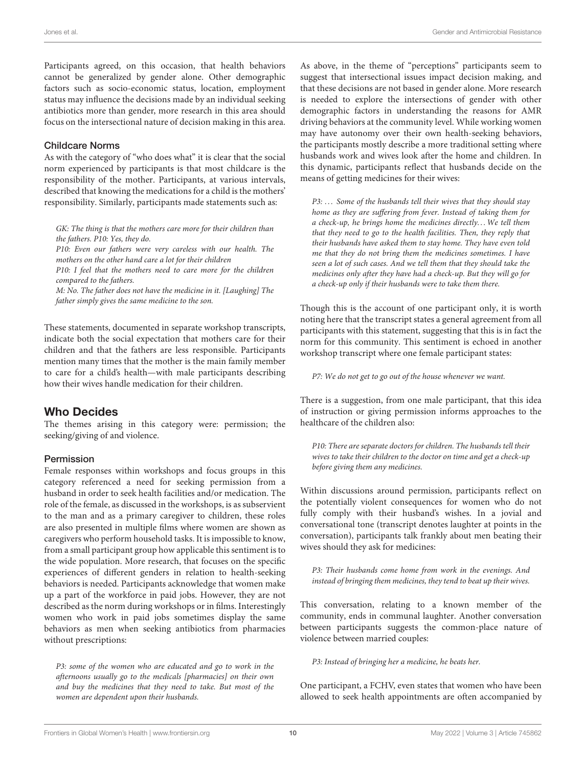Participants agreed, on this occasion, that health behaviors cannot be generalized by gender alone. Other demographic factors such as socio-economic status, location, employment status may influence the decisions made by an individual seeking antibiotics more than gender, more research in this area should focus on the intersectional nature of decision making in this area.

#### Childcare Norms

As with the category of "who does what" it is clear that the social norm experienced by participants is that most childcare is the responsibility of the mother. Participants, at various intervals, described that knowing the medications for a child is the mothers' responsibility. Similarly, participants made statements such as:

GK: The thing is that the mothers care more for their children than the fathers. P10: Yes, they do.

P10: Even our fathers were very careless with our health. The mothers on the other hand care a lot for their children P10: I feel that the mothers need to care more for the children compared to the fathers. M: No. The father does not have the medicine in it. [Laughing] The

father simply gives the same medicine to the son.

These statements, documented in separate workshop transcripts, indicate both the social expectation that mothers care for their children and that the fathers are less responsible. Participants mention many times that the mother is the main family member to care for a child's health—with male participants describing how their wives handle medication for their children.

# Who Decides

The themes arising in this category were: permission; the seeking/giving of and violence.

#### Permission

Female responses within workshops and focus groups in this category referenced a need for seeking permission from a husband in order to seek health facilities and/or medication. The role of the female, as discussed in the workshops, is as subservient to the man and as a primary caregiver to children, these roles are also presented in multiple films where women are shown as caregivers who perform household tasks. It is impossible to know, from a small participant group how applicable this sentiment is to the wide population. More research, that focuses on the specific experiences of different genders in relation to health-seeking behaviors is needed. Participants acknowledge that women make up a part of the workforce in paid jobs. However, they are not described as the norm during workshops or in films. Interestingly women who work in paid jobs sometimes display the same behaviors as men when seeking antibiotics from pharmacies without prescriptions:

P3: some of the women who are educated and go to work in the afternoons usually go to the medicals [pharmacies] on their own and buy the medicines that they need to take. But most of the women are dependent upon their husbands.

As above, in the theme of "perceptions" participants seem to suggest that intersectional issues impact decision making, and that these decisions are not based in gender alone. More research is needed to explore the intersections of gender with other demographic factors in understanding the reasons for AMR driving behaviors at the community level. While working women may have autonomy over their own health-seeking behaviors, the participants mostly describe a more traditional setting where husbands work and wives look after the home and children. In this dynamic, participants reflect that husbands decide on the means of getting medicines for their wives:

P3: ... Some of the husbands tell their wives that they should stay home as they are suffering from fever. Instead of taking them for a check-up, he brings home the medicines directly. . .We tell them that they need to go to the health facilities. Then, they reply that their husbands have asked them to stay home. They have even told me that they do not bring them the medicines sometimes. I have seen a lot of such cases. And we tell them that they should take the medicines only after they have had a check-up. But they will go for a check-up only if their husbands were to take them there.

Though this is the account of one participant only, it is worth noting here that the transcript states a general agreement from all participants with this statement, suggesting that this is in fact the norm for this community. This sentiment is echoed in another workshop transcript where one female participant states:

P7: We do not get to go out of the house whenever we want.

There is a suggestion, from one male participant, that this idea of instruction or giving permission informs approaches to the healthcare of the children also:

P10: There are separate doctors for children. The husbands tell their wives to take their children to the doctor on time and get a check-up before giving them any medicines.

Within discussions around permission, participants reflect on the potentially violent consequences for women who do not fully comply with their husband's wishes. In a jovial and conversational tone (transcript denotes laughter at points in the conversation), participants talk frankly about men beating their wives should they ask for medicines:

P3: Their husbands come home from work in the evenings. And instead of bringing them medicines, they tend to beat up their wives.

This conversation, relating to a known member of the community, ends in communal laughter. Another conversation between participants suggests the common-place nature of violence between married couples:

P3: Instead of bringing her a medicine, he beats her.

One participant, a FCHV, even states that women who have been allowed to seek health appointments are often accompanied by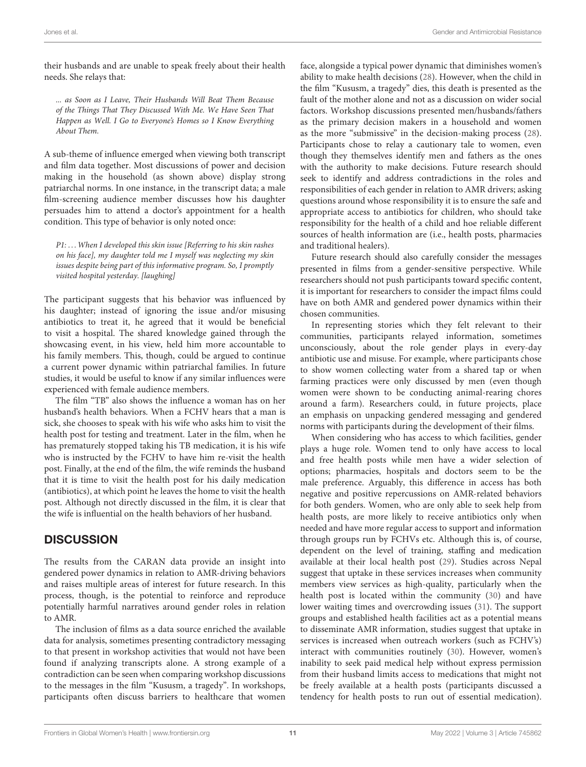their husbands and are unable to speak freely about their health needs. She relays that:

... as Soon as I Leave, Their Husbands Will Beat Them Because of the Things That They Discussed With Me. We Have Seen That Happen as Well. I Go to Everyone's Homes so I Know Everything About Them.

A sub-theme of influence emerged when viewing both transcript and film data together. Most discussions of power and decision making in the household (as shown above) display strong patriarchal norms. In one instance, in the transcript data; a male film-screening audience member discusses how his daughter persuades him to attend a doctor's appointment for a health condition. This type of behavior is only noted once:

P1: ... When I developed this skin issue [Referring to his skin rashes on his face], my daughter told me I myself was neglecting my skin issues despite being part of this informative program. So, I promptly visited hospital yesterday. [laughing]

The participant suggests that his behavior was influenced by his daughter; instead of ignoring the issue and/or misusing antibiotics to treat it, he agreed that it would be beneficial to visit a hospital. The shared knowledge gained through the showcasing event, in his view, held him more accountable to his family members. This, though, could be argued to continue a current power dynamic within patriarchal families. In future studies, it would be useful to know if any similar influences were experienced with female audience members.

The film "TB" also shows the influence a woman has on her husband's health behaviors. When a FCHV hears that a man is sick, she chooses to speak with his wife who asks him to visit the health post for testing and treatment. Later in the film, when he has prematurely stopped taking his TB medication, it is his wife who is instructed by the FCHV to have him re-visit the health post. Finally, at the end of the film, the wife reminds the husband that it is time to visit the health post for his daily medication (antibiotics), at which point he leaves the home to visit the health post. Although not directly discussed in the film, it is clear that the wife is influential on the health behaviors of her husband.

# **DISCUSSION**

The results from the CARAN data provide an insight into gendered power dynamics in relation to AMR-driving behaviors and raises multiple areas of interest for future research. In this process, though, is the potential to reinforce and reproduce potentially harmful narratives around gender roles in relation to AMR.

The inclusion of films as a data source enriched the available data for analysis, sometimes presenting contradictory messaging to that present in workshop activities that would not have been found if analyzing transcripts alone. A strong example of a contradiction can be seen when comparing workshop discussions to the messages in the film "Kususm, a tragedy". In workshops, participants often discuss barriers to healthcare that women face, alongside a typical power dynamic that diminishes women's ability to make health decisions [\(28\)](#page-13-25). However, when the child in the film "Kususm, a tragedy" dies, this death is presented as the fault of the mother alone and not as a discussion on wider social factors. Workshop discussions presented men/husbands/fathers as the primary decision makers in a household and women as the more "submissive" in the decision-making process [\(28\)](#page-13-25). Participants chose to relay a cautionary tale to women, even though they themselves identify men and fathers as the ones with the authority to make decisions. Future research should seek to identify and address contradictions in the roles and responsibilities of each gender in relation to AMR drivers; asking questions around whose responsibility it is to ensure the safe and appropriate access to antibiotics for children, who should take responsibility for the health of a child and hoe reliable different sources of health information are (i.e., health posts, pharmacies and traditional healers).

Future research should also carefully consider the messages presented in films from a gender-sensitive perspective. While researchers should not push participants toward specific content, it is important for researchers to consider the impact films could have on both AMR and gendered power dynamics within their chosen communities.

In representing stories which they felt relevant to their communities, participants relayed information, sometimes unconsciously, about the role gender plays in every-day antibiotic use and misuse. For example, where participants chose to show women collecting water from a shared tap or when farming practices were only discussed by men (even though women were shown to be conducting animal-rearing chores around a farm). Researchers could, in future projects, place an emphasis on unpacking gendered messaging and gendered norms with participants during the development of their films.

When considering who has access to which facilities, gender plays a huge role. Women tend to only have access to local and free health posts while men have a wider selection of options; pharmacies, hospitals and doctors seem to be the male preference. Arguably, this difference in access has both negative and positive repercussions on AMR-related behaviors for both genders. Women, who are only able to seek help from health posts, are more likely to receive antibiotics only when needed and have more regular access to support and information through groups run by FCHVs etc. Although this is, of course, dependent on the level of training, staffing and medication available at their local health post [\(29\)](#page-13-26). Studies across Nepal suggest that uptake in these services increases when community members view services as high-quality, particularly when the health post is located within the community [\(30\)](#page-13-27) and have lower waiting times and overcrowding issues [\(31\)](#page-13-28). The support groups and established health facilities act as a potential means to disseminate AMR information, studies suggest that uptake in services is increased when outreach workers (such as FCHV's) interact with communities routinely [\(30\)](#page-13-27). However, women's inability to seek paid medical help without express permission from their husband limits access to medications that might not be freely available at a health posts (participants discussed a tendency for health posts to run out of essential medication).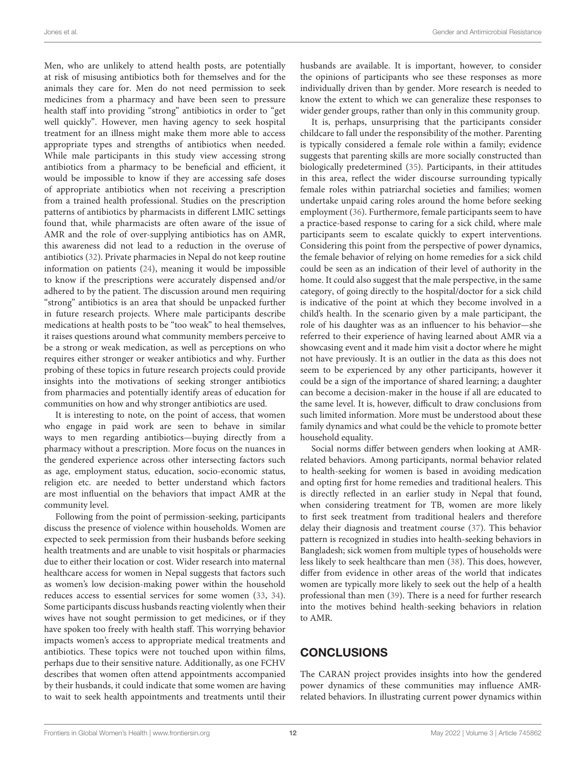Men, who are unlikely to attend health posts, are potentially at risk of misusing antibiotics both for themselves and for the animals they care for. Men do not need permission to seek medicines from a pharmacy and have been seen to pressure health staff into providing "strong" antibiotics in order to "get well quickly". However, men having agency to seek hospital treatment for an illness might make them more able to access appropriate types and strengths of antibiotics when needed. While male participants in this study view accessing strong antibiotics from a pharmacy to be beneficial and efficient, it would be impossible to know if they are accessing safe doses of appropriate antibiotics when not receiving a prescription from a trained health professional. Studies on the prescription patterns of antibiotics by pharmacists in different LMIC settings found that, while pharmacists are often aware of the issue of AMR and the role of over-supplying antibiotics has on AMR, this awareness did not lead to a reduction in the overuse of antibiotics [\(32\)](#page-13-29). Private pharmacies in Nepal do not keep routine information on patients [\(24\)](#page-13-21), meaning it would be impossible to know if the prescriptions were accurately dispensed and/or adhered to by the patient. The discussion around men requiring "strong" antibiotics is an area that should be unpacked further in future research projects. Where male participants describe medications at health posts to be "too weak" to heal themselves, it raises questions around what community members perceive to be a strong or weak medication, as well as perceptions on who requires either stronger or weaker antibiotics and why. Further probing of these topics in future research projects could provide insights into the motivations of seeking stronger antibiotics from pharmacies and potentially identify areas of education for communities on how and why stronger antibiotics are used.

It is interesting to note, on the point of access, that women who engage in paid work are seen to behave in similar ways to men regarding antibiotics—buying directly from a pharmacy without a prescription. More focus on the nuances in the gendered experience across other intersecting factors such as age, employment status, education, socio-economic status, religion etc. are needed to better understand which factors are most influential on the behaviors that impact AMR at the community level.

Following from the point of permission-seeking, participants discuss the presence of violence within households. Women are expected to seek permission from their husbands before seeking health treatments and are unable to visit hospitals or pharmacies due to either their location or cost. Wider research into maternal healthcare access for women in Nepal suggests that factors such as women's low decision-making power within the household reduces access to essential services for some women [\(33,](#page-13-30) [34\)](#page-13-31). Some participants discuss husbands reacting violently when their wives have not sought permission to get medicines, or if they have spoken too freely with health staff. This worrying behavior impacts women's access to appropriate medical treatments and antibiotics. These topics were not touched upon within films, perhaps due to their sensitive nature. Additionally, as one FCHV describes that women often attend appointments accompanied by their husbands, it could indicate that some women are having to wait to seek health appointments and treatments until their husbands are available. It is important, however, to consider the opinions of participants who see these responses as more individually driven than by gender. More research is needed to know the extent to which we can generalize these responses to wider gender groups, rather than only in this community group.

It is, perhaps, unsurprising that the participants consider childcare to fall under the responsibility of the mother. Parenting is typically considered a female role within a family; evidence suggests that parenting skills are more socially constructed than biologically predetermined [\(35\)](#page-13-32). Participants, in their attitudes in this area, reflect the wider discourse surrounding typically female roles within patriarchal societies and families; women undertake unpaid caring roles around the home before seeking employment [\(36\)](#page-13-33). Furthermore, female participants seem to have a practice-based response to caring for a sick child, where male participants seem to escalate quickly to expert interventions. Considering this point from the perspective of power dynamics, the female behavior of relying on home remedies for a sick child could be seen as an indication of their level of authority in the home. It could also suggest that the male perspective, in the same category, of going directly to the hospital/doctor for a sick child is indicative of the point at which they become involved in a child's health. In the scenario given by a male participant, the role of his daughter was as an influencer to his behavior—she referred to their experience of having learned about AMR via a showcasing event and it made him visit a doctor where he might not have previously. It is an outlier in the data as this does not seem to be experienced by any other participants, however it could be a sign of the importance of shared learning; a daughter can become a decision-maker in the house if all are educated to the same level. It is, however, difficult to draw conclusions from such limited information. More must be understood about these family dynamics and what could be the vehicle to promote better household equality.

Social norms differ between genders when looking at AMRrelated behaviors. Among participants, normal behavior related to health-seeking for women is based in avoiding medication and opting first for home remedies and traditional healers. This is directly reflected in an earlier study in Nepal that found, when considering treatment for TB, women are more likely to first seek treatment from traditional healers and therefore delay their diagnosis and treatment course [\(37\)](#page-13-34). This behavior pattern is recognized in studies into health-seeking behaviors in Bangladesh; sick women from multiple types of households were less likely to seek healthcare than men [\(38\)](#page-13-35). This does, however, differ from evidence in other areas of the world that indicates women are typically more likely to seek out the help of a health professional than men [\(39\)](#page-13-36). There is a need for further research into the motives behind health-seeking behaviors in relation to AMR.

# **CONCLUSIONS**

The CARAN project provides insights into how the gendered power dynamics of these communities may influence AMRrelated behaviors. In illustrating current power dynamics within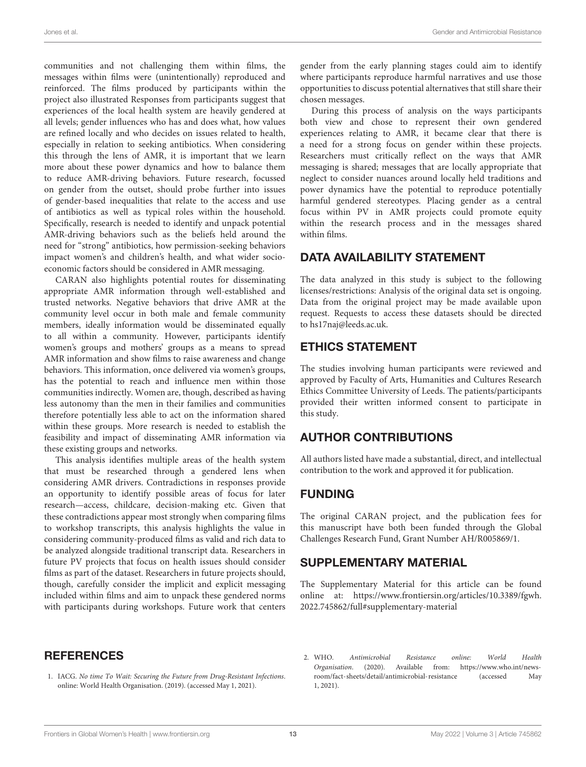communities and not challenging them within films, the messages within films were (unintentionally) reproduced and reinforced. The films produced by participants within the project also illustrated Responses from participants suggest that experiences of the local health system are heavily gendered at all levels; gender influences who has and does what, how values are refined locally and who decides on issues related to health, especially in relation to seeking antibiotics. When considering this through the lens of AMR, it is important that we learn more about these power dynamics and how to balance them to reduce AMR-driving behaviors. Future research, focussed on gender from the outset, should probe further into issues of gender-based inequalities that relate to the access and use of antibiotics as well as typical roles within the household. Specifically, research is needed to identify and unpack potential AMR-driving behaviors such as the beliefs held around the need for "strong" antibiotics, how permission-seeking behaviors impact women's and children's health, and what wider socioeconomic factors should be considered in AMR messaging.

CARAN also highlights potential routes for disseminating appropriate AMR information through well-established and trusted networks. Negative behaviors that drive AMR at the community level occur in both male and female community members, ideally information would be disseminated equally to all within a community. However, participants identify women's groups and mothers' groups as a means to spread AMR information and show films to raise awareness and change behaviors. This information, once delivered via women's groups, has the potential to reach and influence men within those communities indirectly. Women are, though, described as having less autonomy than the men in their families and communities therefore potentially less able to act on the information shared within these groups. More research is needed to establish the feasibility and impact of disseminating AMR information via these existing groups and networks.

This analysis identifies multiple areas of the health system that must be researched through a gendered lens when considering AMR drivers. Contradictions in responses provide an opportunity to identify possible areas of focus for later research—access, childcare, decision-making etc. Given that these contradictions appear most strongly when comparing films to workshop transcripts, this analysis highlights the value in considering community-produced films as valid and rich data to be analyzed alongside traditional transcript data. Researchers in future PV projects that focus on health issues should consider films as part of the dataset. Researchers in future projects should, though, carefully consider the implicit and explicit messaging included within films and aim to unpack these gendered norms with participants during workshops. Future work that centers gender from the early planning stages could aim to identify where participants reproduce harmful narratives and use those opportunities to discuss potential alternatives that still share their chosen messages.

During this process of analysis on the ways participants both view and chose to represent their own gendered experiences relating to AMR, it became clear that there is a need for a strong focus on gender within these projects. Researchers must critically reflect on the ways that AMR messaging is shared; messages that are locally appropriate that neglect to consider nuances around locally held traditions and power dynamics have the potential to reproduce potentially harmful gendered stereotypes. Placing gender as a central focus within PV in AMR projects could promote equity within the research process and in the messages shared within films.

# DATA AVAILABILITY STATEMENT

The data analyzed in this study is subject to the following licenses/restrictions: Analysis of the original data set is ongoing. Data from the original project may be made available upon request. Requests to access these datasets should be directed to hs17naj@leeds.ac.uk.

# ETHICS STATEMENT

The studies involving human participants were reviewed and approved by Faculty of Arts, Humanities and Cultures Research Ethics Committee University of Leeds. The patients/participants provided their written informed consent to participate in this study.

# AUTHOR CONTRIBUTIONS

All authors listed have made a substantial, direct, and intellectual contribution to the work and approved it for publication.

# FUNDING

The original CARAN project, and the publication fees for this manuscript have both been funded through the Global Challenges Research Fund, Grant Number AH/R005869/1.

# SUPPLEMENTARY MATERIAL

<span id="page-12-2"></span>The Supplementary Material for this article can be found [online at: https://www.frontiersin.org/articles/10.3389/fgwh.](https://www.frontiersin.org/articles/10.3389/fgwh.2022.745862/full#supplementary-material) 2022.745862/full#supplementary-material

# **REFERENCES**

- <span id="page-12-0"></span>1. IACG. No time To Wait: Securing the Future from Drug-Resistant Infections. online: World Health Organisation. (2019). (accessed May 1, 2021).
- <span id="page-12-1"></span>2. WHO. Antimicrobial Resistance online: World Health Organisation. (2020). Available from: [https://www.who.int/news](https://www.who.int/news-room/fact-sheets/detail/antimicrobial-resistance)[room/fact-sheets/detail/antimicrobial-resistance](https://www.who.int/news-room/fact-sheets/detail/antimicrobial-resistance) (accessed May 1, 2021).